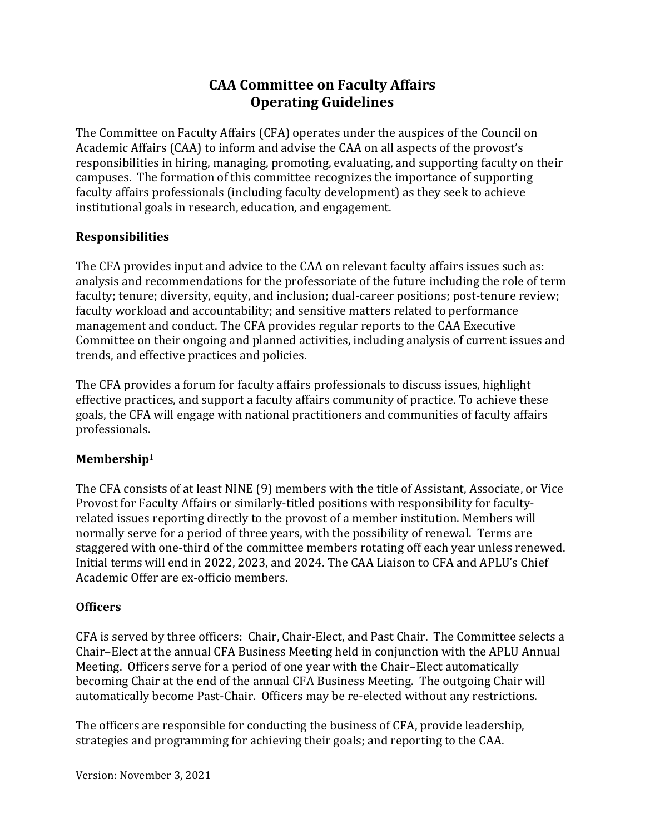# **CAA Committee on Faculty Affairs Operating Guidelines**

The Committee on Faculty Affairs (CFA) operates under the auspices of the Council on Academic Affairs (CAA) to inform and advise the CAA on all aspects of the provost's responsibilities in hiring, managing, promoting, evaluating, and supporting faculty on their campuses. The formation of this committee recognizes the importance of supporting faculty affairs professionals (including faculty development) as they seek to achieve institutional goals in research, education, and engagement.

## **Responsibilities**

The CFA provides input and advice to the CAA on relevant faculty affairs issues such as: analysis and recommendations for the professoriate of the future including the role of term faculty; tenure; diversity, equity, and inclusion; dual-career positions; post-tenure review; faculty workload and accountability; and sensitive matters related to performance management and conduct. The CFA provides regular reports to the CAA Executive Committee on their ongoing and planned activities, including analysis of current issues and trends, and effective practices and policies.

The CFA provides a forum for faculty affairs professionals to discuss issues, highlight effective practices, and support a faculty affairs community of practice. To achieve these goals, the CFA will engage with national practitioners and communities of faculty affairs professionals.

#### **Membership**<sup>1</sup>

The CFA consists of at least NINE (9) members with the title of Assistant, Associate, or Vice Provost for Faculty Affairs or similarly-titled positions with responsibility for facultyrelated issues reporting directly to the provost of a member institution. Members will normally serve for a period of three years, with the possibility of renewal. Terms are staggered with one-third of the committee members rotating off each year unless renewed. Initial terms will end in 2022, 2023, and 2024. The CAA Liaison to CFA and APLU's Chief Academic Offer are ex-officio members.

#### **Officers**

CFA is served by three officers: Chair, Chair-Elect, and Past Chair. The Committee selects a Chair–Elect at the annual CFA Business Meeting held in conjunction with the APLU Annual Meeting. Officers serve for a period of one year with the Chair–Elect automatically becoming Chair at the end of the annual CFA Business Meeting. The outgoing Chair will automatically become Past-Chair. Officers may be re-elected without any restrictions.

The officers are responsible for conducting the business of CFA, provide leadership, strategies and programming for achieving their goals; and reporting to the CAA.